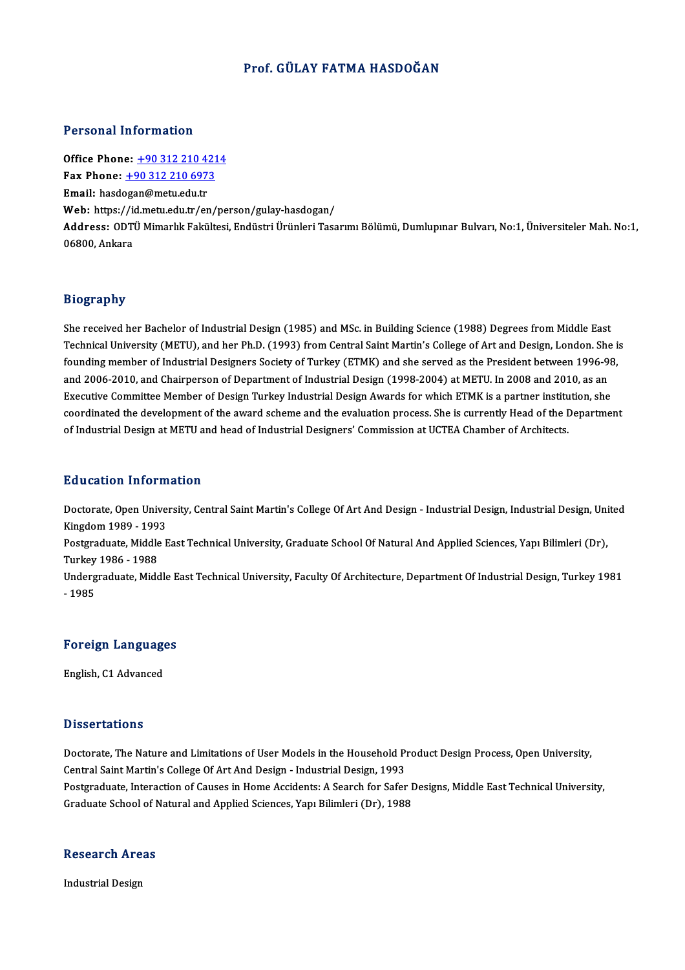## Prof. GÜLAY FATMA HASDOĞAN

#### Personal Information

Office Phone: +90 312 210 4214 Fax Phone: <u>+90 312 210 421</u><br>Fax Phone: <u>+90 312 210 6973</u><br>Fmail: basdesar@msty.edu.tr Office Phone: <u>+90 312 210 42</u><br>Fax Phone: <u>+90 312 210 697</u><br>Email: hasd[ogan@metu.edu.tr](tel:+90 312 210 6973) Fax Phone: <u>+90 312 210 6973</u><br>Email: hasdogan@metu.edu.tr<br>Web: https://id.metu.edu.tr/en/person/gulay-hasdogan/<br>Address: ODTÜ Mimarlık Fakültesi Endüstri Ürünleri Tess Email: hasdogan@metu.edu.tr<br>Web: https://id.metu.edu.tr/en/person/gulay-hasdogan/<br>Address: ODTÜ Mimarlık Fakültesi, Endüstri Ürünleri Tasarımı Bölümü, Dumlupınar Bulvarı, No:1, Üniversiteler Mah. No:1,<br>06800, Ankara Web: https://i<br>Address: ODTI<br>06800, Ankara

#### Biography

She received her Bachelor of Industrial Design (1985) and MSc. in Building Science (1988) Degrees from Middle East בניסביבץ.<br>She received her Bachelor of Industrial Design (1985) and MSc. in Building Science (1988) Degrees from Middle East<br>Technical University (METU), and her Ph.D. (1993) from Central Saint Martin's College of Art and She received her Bachelor of Industrial Design (1985) and MSc. in Building Science (1988) Degrees from Middle East<br>Technical University (METU), and her Ph.D. (1993) from Central Saint Martin's College of Art and Design, Lo founding member of Industrial Designers Society of Turkey (ETMK) and she served as the President between 1996-98,<br>and 2006-2010, and Chairperson of Department of Industrial Design (1998-2004) at METU. In 2008 and 2010, as founding member of Industrial Designers Society of Turkey (ETMK) and she served as the President between 1996-98<br>and 2006-2010, and Chairperson of Department of Industrial Design (1998-2004) at METU. In 2008 and 2010, as a and 2006-2010, and Chairperson of Department of Industrial Design (1998-2004) at METU. In 2008 and 2010, as an<br>Executive Committee Member of Design Turkey Industrial Design Awards for which ETMK is a partner institution, s Executive Committee Member of Design Turkey Industrial Design Awards for which ETMK is a partner institu<br>coordinated the development of the award scheme and the evaluation process. She is currently Head of the I<br>of Industr of Industrial Design at METU and head of Industrial Designers' Commission at UCTEA Chamber of Architects.<br>Education Information

**Education Information**<br>Doctorate, Open University, Central Saint Martin's College Of Art And Design - Industrial Design, Industrial Design, United<br>Kingdom 1999–1993 Matalandari IIII (1994)<br>Doctorate, Open Unive<br>Restandario Middle E Doctorate, Open University, Central Saint Martin's College Of Art And Design - Industrial Design, Industrial Design, Uni<br>Kingdom 1989 - 1993<br>Postgraduate, Middle East Technical University, Graduate School Of Natural And Ap Kingdom 1989 - 1993<br>Postgraduate, Middle East Technical University, Graduate School Of Natural And Applied Sciences, Yapı Bilimleri (Dr),<br>Turkey 1986 - 1988 Postgraduate, Middle East Technical University, Graduate School Of Natural And Applied Sciences, Yapı Bilimleri (Dr),<br>Turkey 1986 - 1988<br>Undergraduate, Middle East Technical University, Faculty Of Architecture, Department Turkey<br>Underg<br>- 1985

# Foreign Languages

English, C1 Advanced

#### **Dissertations**

Doctorate, The Nature and Limitations of User Models in the Household Product Design Process, Open University, Central Saint Martin's College Of Art And Design - Industrial Design, 1993 Doctorate, The Nature and Limitations of User Models in the Household Product Design Process, Open University,<br>Central Saint Martin's College Of Art And Design - Industrial Design, 1993<br>Postgraduate, Interaction of Causes Central Saint Martin's College Of Art And Design - Industrial Design, 1993<br>Postgraduate, Interaction of Causes in Home Accidents: A Search for Safer I<br>Graduate School of Natural and Applied Sciences, Yapı Bilimleri (Dr), 1

## Graduate School of P<br>Research Areas R<mark>esearch Are</mark><br>Industrial Design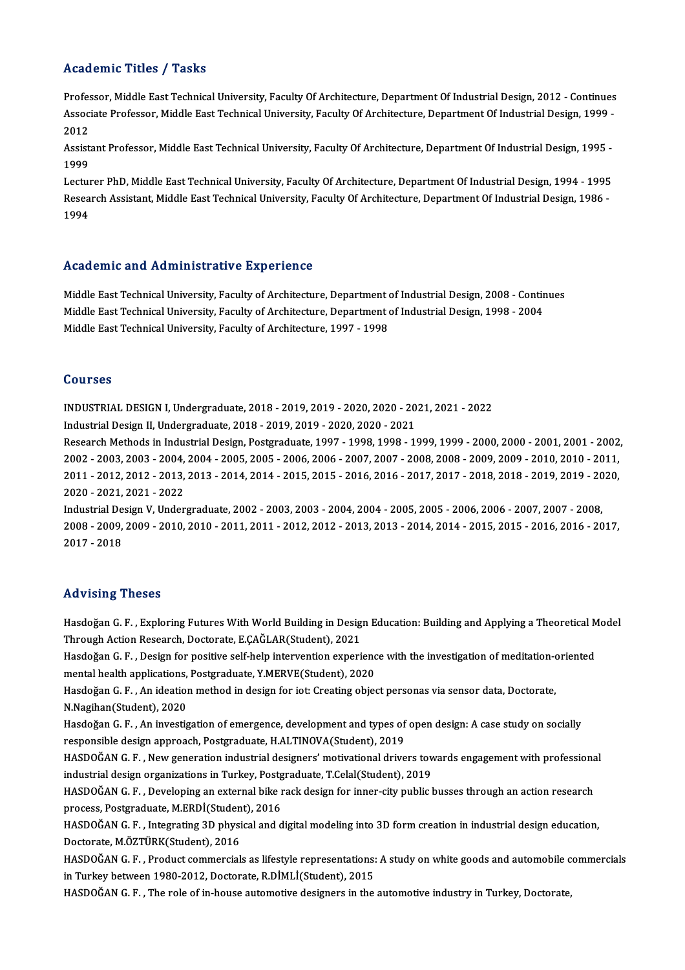### Academic Titles / Tasks

Academic Titles / Tasks<br>Professor, Middle East Technical University, Faculty Of Architecture, Department Of Industrial Design, 2012 - Continues<br>Associate Professor, Middle Feet Technical University, Faculty Of Architecture AssociateMic Trees 7 Tasks<br>Professor, Middle East Technical University, Faculty Of Architecture, Department Of Industrial Design, 2012 - Continues<br>Associate Professor, Middle East Technical University, Faculty Of Architect Profes<br>Assoc<br>2012 Associate Professor, Middle East Technical University, Faculty Of Architecture, Department Of Industrial Design, 1999<br>2012<br>Assistant Professor, Middle East Technical University, Faculty Of Architecture, Department Of Indus

Assistant Professor, Middle East Technical University, Faculty Of Architecture, Department Of Industrial Design, 1995 -Assistant Professor, Middle East Technical University, Faculty Of Architecture, Department Of Industrial Design, 1995 -<br>1999<br>Lecturer PhD, Middle East Technical University, Faculty Of Architecture, Department Of Industrial

1999<br>Lecturer PhD, Middle East Technical University, Faculty Of Architecture, Department Of Industrial Design, 1994<br>Research Assistant, Middle East Technical University, Faculty Of Architecture, Department Of Industrial De Lectui<br>Resea<br>1994

# Academic and Administrative Experience

Academic and Administrative Experience<br>Middle East Technical University, Faculty of Architecture, Department of Industrial Design, 2008 - Continues<br>Middle Fast Technical University, Faculty of Architecture, Department of I Middle East Technical University, Faculty of Architecture, Department of Industrial Design, 2008 - Contin<br>Middle East Technical University, Faculty of Architecture, Department of Industrial Design, 1998 - 2004<br>Middle Fast Middle East Technical University, Faculty of Architecture, Department o<br>Middle East Technical University, Faculty of Architecture, Department o<br>Middle East Technical University, Faculty of Architecture, 1997 - 1998 Middle East Technical University, Faculty of Architecture, 1997 - 1998<br>Courses

Courses<br>INDUSTRIAL DESIGN I, Undergraduate, 2018 - 2019, 2019 - 2020, 2020 - 2021, 2021 - 2022<br>Industrial Design II, Undergraduate, 2019, 2019, 2019, 2020, 2020, 2021 UOUI 505<br>INDUSTRIAL DESIGN I, Undergraduate, 2018 - 2019, 2019 - 2020, 2020 - 20<br>Industrial Design II, Undergraduate, 2018 - 2019, 2019 - 2020, 2020 - 2021<br>Pessarsk Methods in Industrial Design Pestarsduate, 1997, 1998, 19

INDUSTRIAL DESIGN I, Undergraduate, 2018 - 2019, 2019 - 2020, 2020 - 2021, 2021 - 2022<br>Industrial Design II, Undergraduate, 2018 - 2019, 2019 - 2020, 2020 - 2021<br>Research Methods in Industrial Design, Postgraduate, 1997 - Industrial Design II, Undergraduate, 2018 - 2019, 2019 - 2020, 2020 - 2021<br>Research Methods in Industrial Design, Postgraduate, 1997 - 1998, 1998 - 1999, 1999 - 2000, 2000 - 2001, 2001 - 2002<br>2002 - 2003, 2003 - 2004, 2004 Research Methods in Industrial Design, Postgraduate, 1997 - 1998, 1998 - 1999, 1999 - 2000, 2000 - 2001, 2001 - 2002<br>2002 - 2003, 2003 - 2004, 2004 - 2005, 2005 - 2006, 2006 - 2007, 2007 - 2008, 2008 - 2009, 2009 - 2010, 2 2002 - 2003, 2003 - 2004,<br>2011 - 2012, 2012 - 2013,<br>2020 - 2021, 2021 - 2022<br>Industrial Design V, Under 2011 - 2012, 2012 - 2013, 2013 - 2014, 2014 - 2015, 2015 - 2016, 2016 - 2017, 2017 - 2018, 2018 - 2019, 2019 - 20<br>2020 - 2021, 2021 - 2022<br>Industrial Design V, Undergraduate, 2002 - 2003, 2003 - 2004, 2004 - 2005, 2005 - 2

2020 - 2021, 2021 - 2022<br>Industrial Design V, Undergraduate, 2002 - 2003, 2003 - 2004, 2004 - 2005, 2005 - 2006, 2006 - 2007, 2007 - 2008,<br>2008 - 2009, 2009 - 2010, 2010 - 2011, 2011 - 2012, 2012 - 2013, 2013 - 2014, 2014 Industrial Design V, Undergraduate, 2002 - 2003, 2003 - 2004, 2004 - 2005, 2005 - 2006, 2006 - 2007, 2007 - 2008,

### Advising Theses

Advising Theses<br>Hasdoğan G. F. , Exploring Futures With World Building in Design Education: Building and Applying a Theoretical Model<br>Through Agtion Researsh, Destarate E.CAČI AR(Student), 2021 Through Actions<br>Through Action Research, Doctorate, E.ÇAĞLAR(Student), 2021<br>Hasdoğan C. E., Docian for positive self belp intervention evneri Hasdoğan G. F. , Exploring Futures With World Building in Design Education: Building and Applying a Theoretical M<br>Through Action Research, Doctorate, E.ÇAĞLAR(Student), 2021<br>Hasdoğan G. F. , Design for positive self-help i

Through Action Research, Doctorate, E.ÇAĞLAR(Student), 2021<br>Hasdoğan G. F. , Design for positive self-help intervention experienc<br>mental health applications, Postgraduate, Y.MERVE(Student), 2020<br>Hasdoğan C. E., An ideation Hasdoğan G. F. , Design for positive self-help intervention experience with the investigation of meditation-oriented<br>mental health applications, Postgraduate, Y.MERVE(Student), 2020<br>Hasdoğan G. F. , An ideation method in d

mental health applications,<br>Hasdoğan G. F. , An ideation<br>N.Nagihan(Student), 2020<br>Hasdoğan G. F. , An investio Hasdoğan G. F. , An ideation method in design for iot: Creating object personas via sensor data, Doctorate,<br>N.Nagihan(Student), 2020<br>Hasdoğan G. F. , An investigation of emergence, development and types of open design: A c

N.Nagihan(Student), 2020<br>Hasdoğan G. F. , An investigation of emergence, development and types of<br>responsible design approach, Postgraduate, H.ALTINOVA(Student), 2019<br>HASDOČAN G. E., Now generation industrial designers' me Hasdoğan G. F. , An investigation of emergence, development and types of open design: A case study on socially<br>responsible design approach, Postgraduate, H.ALTINOVA(Student), 2019<br>HASDOĞAN G. F. , New generation industrial

responsible design approach, Postgraduate, H.ALTINOVA(Student), 2019<br>HASDOĞAN G. F. , New generation industrial designers' motivational drivers tov<br>industrial design organizations in Turkey, Postgraduate, T.Celal(Student), HASDOĞAN G. F. , New generation industrial designers' motivational drivers towards engagement with professional<br>industrial design organizations in Turkey, Postgraduate, T.Celal(Student), 2019<br>HASDOĞAN G. F. , Developing an

industrial design organizations in Turkey, Postg<br>HASDOĞAN G. F. , Developing an external bike i<br>process, Postgraduate, M.ERDİ(Student), 2016<br>HASDOĞAN G. E., Integrating 2D physical and d HASDOĞAN G. F. , Developing an external bike rack design for inner-city public busses through an action research<br>process, Postgraduate, M.ERDİ(Student), 2016<br>HASDOĞAN G. F. , Integrating 3D physical and digital modeling in

process, Postgraduate, M.ERDİ(Studen<br>HASDOĞAN G. F. , Integrating 3D physi<br>Doctorate, M.ÖZTÜRK(Student), 2016<br>HASDOĞAN G. E. , Produst sommersial HASDOĞAN G. F. , Integrating 3D physical and digital modeling into 3D form creation in industrial design education,<br>Doctorate, M.ÖZTÜRK(Student), 2016<br>HASDOĞAN G. F. , Product commercials as lifestyle representations: A st

Doctorate, M.ÖZTÜRK(Student), 2016<br>HASDOĞAN G. F. , Product commercials as lifestyle representations:<br>in Turkey between 1980-2012, Doctorate, R.DİMLİ(Student), 2015<br>HASDOĞAN G. E. . The role of in bouse autometive designer HASDOĞAN G. F. , Product commercials as lifestyle representations: A study on white goods and automobile c<br>in Turkey between 1980-2012, Doctorate, R.DİMLİ(Student), 2015<br>HASDOĞAN G. F. , The role of in-house automotive des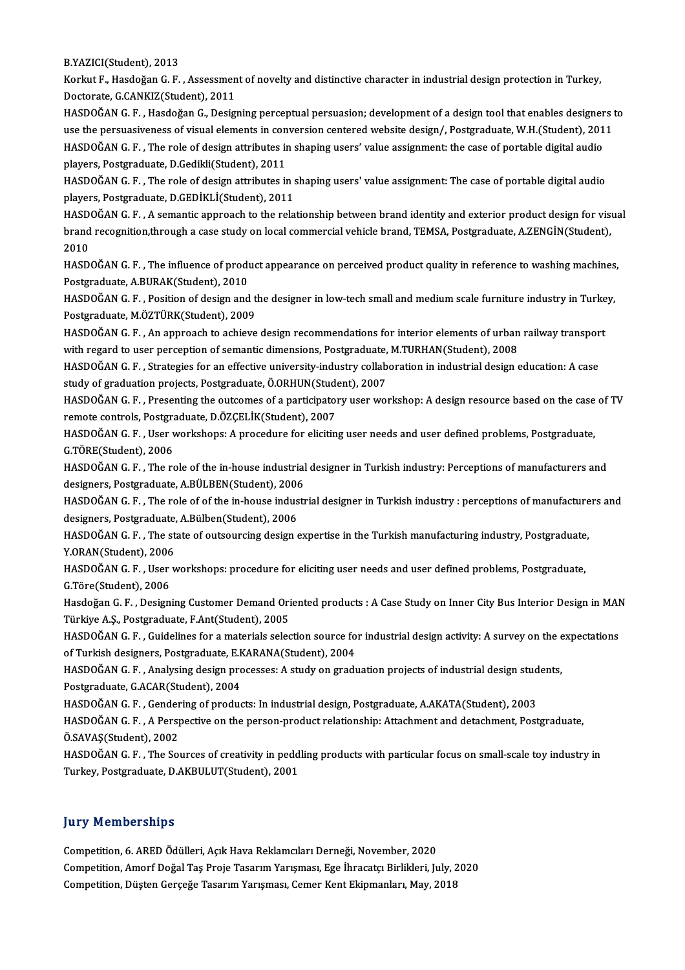B.YAZICI(Student),2013

B.YAZICI(Student), 2013<br>Korkut F., Hasdoğan G. F. , Assessment of novelty and distinctive character in industrial design protection in Turkey,<br>Pesterate G.CANKIZ(Student), 2011 B.YAZICI(Student), 2013<br>Korkut F., Hasdoğan G. F. , Assessmen<br>Doctorate, G.CANKIZ(Student), 2011<br>HASDOČAN G. E., Hasdoğan G., Desiz Doctorate, G.CANKIZ(Student), 2011<br>HASDOĞAN G. F. , Hasdoğan G., Designing perceptual persuasion; development of a design tool that enables designers to

Doctorate, G.CANKIZ(Student), 2011<br>HASDOĞAN G. F. , Hasdoğan G., Designing perceptual persuasion; development of a design tool that enables designers t<br>use the persuasiveness of visual elements in conversion centered websi HASDOĞAN G. F. , Hasdoğan G., Designing perceptual persuasion; development of a design tool that enables designer<br>use the persuasiveness of visual elements in conversion centered website design/, Postgraduate, W.H.(Student use the persuasiveness of visual elements in con<br>HASDOĞAN G. F. , The role of design attributes in<br>players, Postgraduate, D.Gedikli(Student), 2011<br>HASDOĞAN G. E. . The role of design attributes in HASDOĞAN G. F. , The role of design attributes in shaping users' value assignment: the case of portable digital audio<br>players, Postgraduate, D.Gedikli(Student), 2011<br>HASDOĞAN G. F. , The role of design attributes in shapin players, Postgraduate, D.Gedikli(Student), 2011

HASDOĞAN G. F. , The role of design attributes in shaping users' value assignment: The case of portable digital audio<br>players, Postgraduate, D.GEDİKLİ(Student), 2011<br>HASDOĞAN G. F. , A semantic approach to the relationship

players, Postgraduate, D.GEDİKLİ(Student), 2011<br>HASDOĞAN G. F. , A semantic approach to the relationship between brand identity and exterior product design for vis<br>brand recognition,through a case study on local commercial HASD<br>brand<br>2010<br>HASD brand recognition,through a case study on local commercial vehicle brand, TEMSA, Postgraduate, A.ZENGİN(Student),<br>2010<br>HASDOĞAN G. F. , The influence of product appearance on perceived product quality in reference to washi

Postgraduate,A.BURAK(Student),2010 HASDOĞAN G. F. , The influence of product appearance on perceived product quality in reference to washing machines<br>Postgraduate, A.BURAK(Student), 2010<br>HASDOĞAN G. F. , Position of design and the designer in low-tech small

Postgraduate, A.BURAK(Student), 2010<br>HASDOĞAN G. F. , Position of design and t<br>Postgraduate, M.ÖZTÜRK(Student), 2009<br>HASDOĞAN G. E. An annreach to ashieve HASDOĞAN G. F. , Position of design and the designer in low-tech small and medium scale furniture industry in Turke<br>Postgraduate, M.ÖZTÜRK(Student), 2009<br>HASDOĞAN G. F. , An approach to achieve design recommendations for i

Postgraduate, M.ÖZTÜRK(Student), 2009<br>HASDOĞAN G. F. , An approach to achieve design recommendations for interior elements of urban<br>with regard to user perception of semantic dimensions, Postgraduate, M.TURHAN(Student), 20 HASDOĞAN G. F. , An approach to achieve design recommendations for interior elements of urban railway transpor<br>with regard to user perception of semantic dimensions, Postgraduate, M.TURHAN(Student), 2008<br>HASDOĞAN G. F. , S

with regard to user perception of semantic dimensions, Postgraduate, M.TURHAN(Student), 2008<br>HASDOĞAN G. F. , Strategies for an effective university-industry collaboration in industrial design education: A case study of graduation projects, Postgraduate, Ö.ORHUN(Student), 2007

HASDOĞAN G. F. , Presenting the outcomes of a participatory user workshop: A design resource based on the case of TV<br>remote controls, Postgraduate, D.ÖZÇELİK(Student), 2007 HASDOĞAN G. F. , Presenting the outcomes of a participatory user workshop: A design resource based on the case<br>remote controls, Postgraduate, D.ÖZÇELİK(Student), 2007<br>HASDOĞAN G. F. , User workshops: A procedure for elicit

remote controls, Postgra<br>HASDOĞAN G. F. , User v<br>G.TÖRE(Student), 2006<br>HASDOĞAN G. E. . The re HASDOĞAN G. F. , User workshops: A procedure for eliciting user needs and user defined problems, Postgraduate,<br>G.TÖRE(Student), 2006<br>HASDOĞAN G. F. , The role of the in-house industrial designer in Turkish industry: Percep

G.TÖRE(Student), 2006<br>HASDOĞAN G. F. , The role of the in-house industrial designer in Turkish industry: Perceptions of manufacturers and designers, Postgraduate, A.BÜLBEN(Student), 2006

HASDOĞAN G. F. , The role of of the in-house industrial designer in Turkish industry : perceptions of manufacturers and<br>designers, Postgraduate, A.Bülben(Student), 2006 HASDOĞAN G. F. , The role of of the in-house industrial designer in Turkish industry : perceptions of manufacture<br>designers, Postgraduate, A.Bülben(Student), 2006<br>HASDOĞAN G. F. , The state of outsourcing design expertise

designers, Postgraduate,<br>HASDOĞAN G. F. , The st<br>Y.ORAN(Student), 2006<br>HASDOĞAN C. E. , USSE v HASDOĞAN G. F. , The state of outsourcing design expertise in the Turkish manufacturing industry, Postgraduate<br>Y.ORAN(Student), 2006<br>HASDOĞAN G. F. , User workshops: procedure for eliciting user needs and user defined prob

Y.ORAN(Student), 2006<br>HASDOĞAN G. F. , User workshops: procedure for eliciting user needs and user defined problems, Postgraduate,<br>G.Töre(Student), 2006 HASDOĞAN G. F. , User workshops: procedure for eliciting user needs and user defined problems, Postgraduate,<br>G.Töre(Student), 2006<br>Hasdoğan G. F. , Designing Customer Demand Oriented products : A Case Study on Inner City B

G.Töre(Student), 2006<br>Hasdoğan G. F. , Designing Customer Demand Ori<br>Türkiye A.Ş., Postgraduate, F.Ant(Student), 2005<br>HASDOČAN G. E., Cuidelines fan a materiale selse Hasdoğan G. F. , Designing Customer Demand Oriented products : A Case Study on Inner City Bus Interior Design in MAN<br>Türkiye A.Ş., Postgraduate, F.Ant(Student), 2005<br>HASDOĞAN G. F. , Guidelines for a materials selection so

Türkiye A.Ş., Postgraduate, F.Ant(Student), 2005<br>HASDOĞAN G. F. , Guidelines for a materials selection source fo<br>of Turkish designers, Postgraduate, E.KARANA(Student), 2004<br>HASDOĞAN G. E... Analysing design prosessesu A st HASDOĞAN G. F. , Guidelines for a materials selection source for industrial design activity: A survey on the e<br>of Turkish designers, Postgraduate, E.KARANA(Student), 2004<br>HASDOĞAN G. F. , Analysing design processes: A stud

of Turkish designers, Postgraduate, E.KARANA(Student), 2004<br>HASDOĞAN G. F. , Analysing design processes: A study on grad<br>Postgraduate, G.ACAR(Student), 2004 HASDOĞAN G.F., Analysing design processes: A study on graduation projects of industrial design students,

HASDOĞAN G. F., Gendering of products: In industrial design, Postgraduate, A.AKATA(Student), 2003

HASDOĞAN G. F. , A Perspective on the person-product relationship: Attachment and detachment, Postgraduate,<br>Ö.SAVAŞ(Student), 2002 HASDOĞAN G. F. , A Perspective on the person-product relationship: Attachment and detachment, Postgraduate,<br>Ö.SAVAŞ(Student), 2002<br>HASDOĞAN G. F. , The Sources of creativity in peddling products with particular focus on sm

Ö.SAVAŞ(Student), 2002<br>HASDOĞAN G. F. , The Sources of creativity in pedd<br>Turkey, Postgraduate, D.AKBULUT(Student), 2001 Turkey, Postgraduate, D.AKBULUT(Student), 2001<br>Jury Memberships

Competition, 6. ARED Ödülleri, Açık Hava Reklamcıları Derneği, November, 2020 yary Tremberompo<br>Competition, 6. ARED Ödülleri, Açık Hava Reklamcıları Derneği, November, 2020<br>Competition, Amorf Doğal Taş Proje Tasarım Yarışması, Ege İhracatçı Birlikleri, July, 2020<br>Competition, Düsten Corseğe Tasarım Competition, 6. ARED Ödülleri, Açık Hava Reklamcıları Derneği, November, 2020<br>Competition, Amorf Doğal Taş Proje Tasarım Yarışması, Ege İhracatçı Birlikleri, July, 2<br>Competition, Düşten Gerçeğe Tasarım Yarışması, Cemer Ken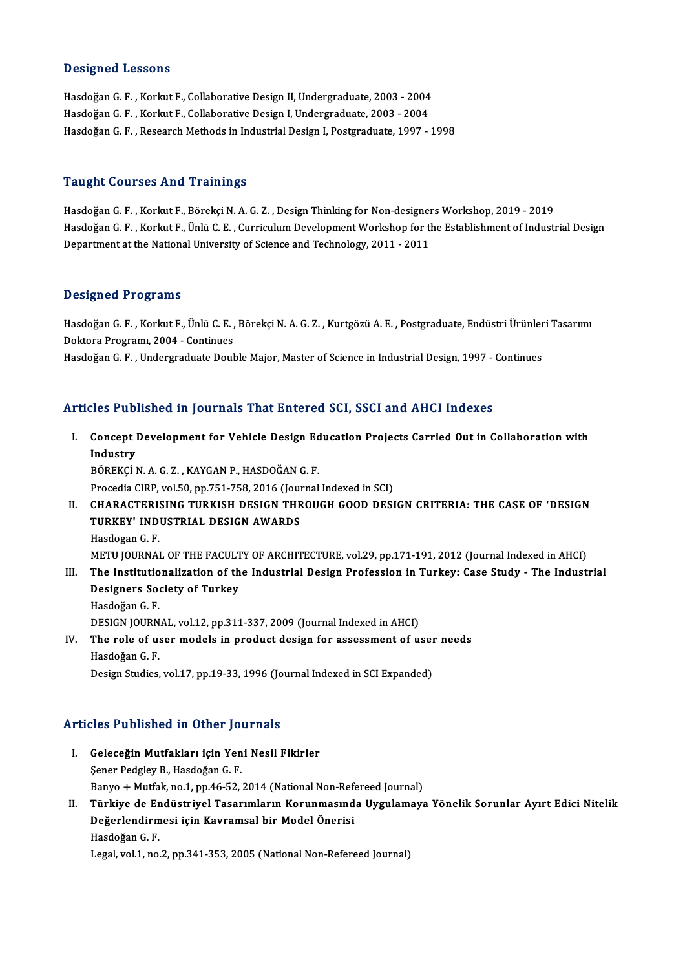#### Designed Lessons

**Designed Lessons<br>Hasdoğan G. F. , Korkut F., Collaborative Design II, Undergraduate, 2003 - 2004<br>Hasdoğan G. E., Korkut E. Collaborative Design L. Undergraduate, 2003 - 2004** Beergned Beeseems<br>Hasdoğan G. F. , Korkut F., Collaborative Design II, Undergraduate, 2003 - 2004<br>Hasdoğan G. F. , Korkut F., Collaborative Design I, Undergraduate, 2003 - 2004<br>Hasdoğan G. F. , Bessarsh Mathods in Industri Hasdoğan G. F. , Korkut F., Collaborative Design I, Undergraduate, 2003 - 2004<br>Hasdoğan G. F. , Research Methods in Industrial Design I, Postgraduate, 1997 - 1998

#### Taught Courses And Trainings

**Taught Courses And Trainings<br>Hasdoğan G. F. , Korkut F., Börekçi N. A. G. Z. , Design Thinking for Non-designers Workshop, 2019 - 2019<br>Hasdoğan G. E., Korkut E. Ünlü G. E., Currigulum Dovelopment Workshop for the Establis** Hasdoğan G. F. , Korkut F., Ünlü C. E. , Curriculum Development Workshop for the Establishment of Industrial Design<br>Department at the National University of Science and Technology, 2011 - 2011 Hasdoğan G. F. , Korkut F., Börekçi N. A. G. Z. , Design Thinking for Non-designeı<br>Hasdoğan G. F. , Korkut F., Ünlü C. E. , Curriculum Development Workshop for tl<br>Department at the National University of Science and Techno

#### Designed Programs

HasdoğanG.F. ,KorkutF.,ÜnlüC.E. ,BörekçiN.A.G.Z. ,KurtgözüA.E. ,Postgraduate,EndüstriÜrünleriTasarımı Doktora Programı, 2004 - Continues

Hasdoğan G.F., Undergraduate Double Major, Master of Science in Industrial Design, 1997 - Continues

## Articles Published in Journals That Entered SCI, SSCI and AHCI Indexes

rticles Published in Journals That Entered SCI, SSCI and AHCI Indexes<br>I. Concept Development for Vehicle Design Education Projects Carried Out in Collaboration with<br>Industry Industry<br>Industry<br>PÖPEKCLI BÖREKÇİN.A.G.Z. ,KAYGANP.,HASDOĞANG.F. Procedia CIRP, vol.50, pp.751-758, 2016 (Journal Indexed in SCI) BÖREKÇİ N. A. G. Z. , KAYGAN P., HASDOĞAN G. F.<br>Procedia CIRP, vol.50, pp.751-758, 2016 (Journal Indexed in SCI)<br>II. CHARACTERISING TURKISH DESIGN THROUGH GOOD DESIGN CRITERIA: THE CASE OF 'DESIGN<br>TURKEY' INDUSTRIAL DE Procedia CIRP, vol.50, pp.751-758, 2016 (Journal Charl Charl Charl Charl Charl The Turkey' Industrial Design Awards<br>TURKEY' INDUSTRIAL DESIGN AWARDS CHARACTERI<mark>:</mark><br>TURKEY' IND<br>Hasdogan G. F.<br>METU IOUPNA! TURKEY' INDUSTRIAL DESIGN AWARDS<br>Hasdogan G. F.<br>METU JOURNAL OF THE FACULTY OF ARCHITECTURE, vol.29, pp.171-191, 2012 (Journal Indexed in AHCI) Hasdogan G. F.<br>METU JOURNAL OF THE FACULTY OF ARCHITECTURE, vol.29, pp.171-191, 2012 (Journal Indexed in AHCI)<br>III. The Institutionalization of the Industrial Design Profession in Turkey: Case Study - The Industrial<br>Design METU JOURNAL OF THE FACULT<br>The Institutionalization of th<br>Designers Society of Turkey The Institutio<br>Designers Soo<br>Hasdoğan G. F.<br>DESICN JOUPN Designers Society of Turkey<br>Hasdoğan G. F.<br>DESIGN JOURNAL, vol.12, pp.311-337, 2009 (Journal Indexed in AHCI)<br>The role of user models in product design for assessment of u Hasdoğan G. F.<br>DESIGN JOURNAL, vol.12, pp.311-337, 2009 (Journal Indexed in AHCI)<br>IV. The role of user models in product design for assessment of user needs<br>Hasdoğan G. F. DESIGN JOURN<br>**The role of u:**<br>Hasdoğan G. F.<br>Design Studies

## Design Studies, vol.17, pp.19-33, 1996 (Journal Indexed in SCI Expanded)

### Articles Published in Other Journals

- rticles Published in Other Journals<br>I. Geleceğin Mutfakları için Yeni Nesil Fikirler<br>Sanar Bodslav B. Hasdeğan C. E Sener Pedgley B., Hasdoğan G. F.<br>Sener Pedgley B., Hasdoğan G. F.<br>Panyo J. Mutfak no 1 nn 46 52 Geleceğin Mutfakları için Yeni Nesil Fikirler<br>Şener Pedgley B., Hasdoğan G. F.<br>Banyo + Mutfak, no.1, pp.46-52, 2014 (National Non-Refereed Journal)<br>Türkiye de Endüstriyel Teserumların Korunmasında Hygulamaya Şener Pedgley B., Hasdoğan G. F.<br>Banyo + Mutfak, no.1, pp.46-52, 2014 (National Non-Refereed Journal)<br>II. Türkiye de Endüstriyel Tasarımların Korunmasında Uygulamaya Yönelik Sorunlar Ayırt Edici Nitelik<br>Değerlendirmesi
- Banyo + Mutfak, no.1, pp.46-52, 2014 (National Non-Ref<br>Türkiye de Endüstriyel Tasarımların Korunmasınd<br>Değerlendirmesi için Kavramsal bir Model Önerisi<br>Hasdağan C. E Hasdoğan G.F. Legal, vol.1, no.2, pp.341-353, 2005 (National Non-Refereed Journal)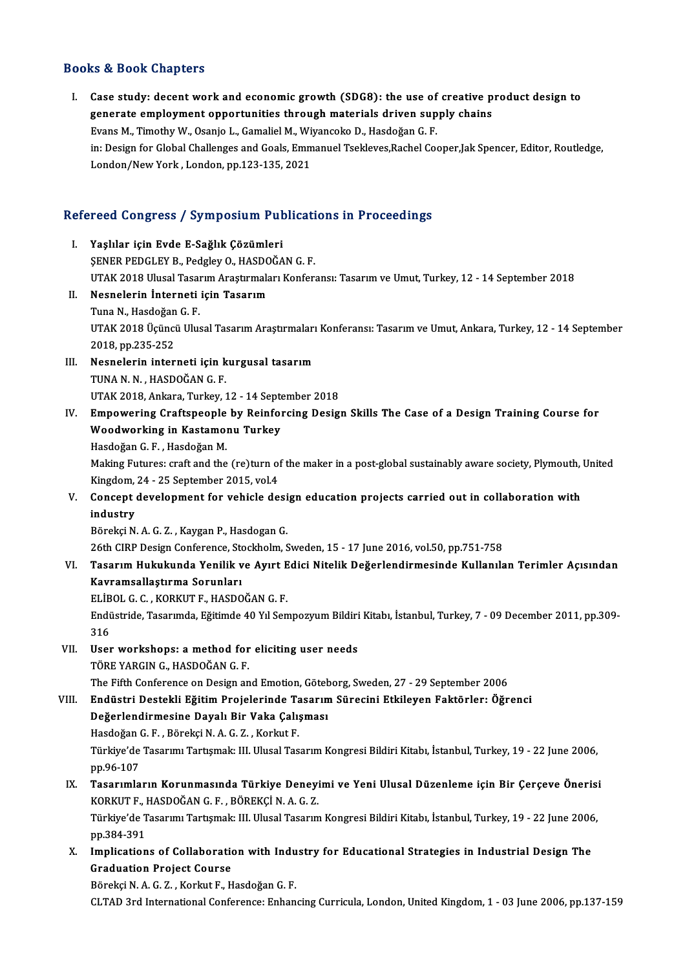## Books&Book Chapters

ooks & Book Chapters<br>I. Case study: decent work and economic growth (SDG8): the use of creative product design to<br>conorate employment ennortunities through materials driven sunply shains generate employment and economic growth (SDG8): the use of creative p<br>generate employment opportunities through materials driven supply chains<br>Evans M. Timethy W. Osania L. Camalial M. Wivonsels D. Hasdağan C. E Case study: decent work and economic growth (SDG8): the use of<br>generate employment opportunities through materials driven sup<br>Evans M., Timothy W., Osanjo L., Gamaliel M., Wiyancoko D., Hasdoğan G. F.<br>in: Design for Clabel generate employment opportunities through materials driven supply chains<br>Evans M., Timothy W., Osanjo L., Gamaliel M., Wiyancoko D., Hasdoğan G. F.<br>in: Design for Global Challenges and Goals, Emmanuel Tsekleves,Rachel Coop Evans M., Timothy W., Osanjo L., Gamaliel M., Wiyancoko D., Hasdoğan G. F.

# London/New York, London, pp.123-135, 2021<br>Refereed Congress / Symposium Publications in Proceedings

| Refereed Congress / Symposium Publications in Proceedings |                                                                                                                                                            |
|-----------------------------------------------------------|------------------------------------------------------------------------------------------------------------------------------------------------------------|
| Ι.                                                        | Yaşlılar için Evde E-Sağlık Çözümleri<br>ŞENER PEDGLEY B., Pedgley O., HASDOĞAN G. F.                                                                      |
|                                                           | UTAK 2018 Ulusal Tasarım Araştırmaları Konferansı: Tasarım ve Umut, Turkey, 12 - 14 September 2018                                                         |
| П.                                                        | Nesnelerin İnterneti için Tasarım                                                                                                                          |
|                                                           | Tuna N., Hasdoğan G. F.                                                                                                                                    |
|                                                           | UTAK 2018 Üçüncü Ulusal Tasarım Araştırmaları Konferansı: Tasarım ve Umut, Ankara, Turkey, 12 - 14 September                                               |
|                                                           | 2018, pp 235-252                                                                                                                                           |
| III.                                                      | Nesnelerin interneti için kurgusal tasarım                                                                                                                 |
|                                                           | TUNA N N , HASDOĞAN G F.                                                                                                                                   |
|                                                           | UTAK 2018, Ankara, Turkey, 12 - 14 September 2018                                                                                                          |
| IV.                                                       | Empowering Craftspeople by Reinforcing Design Skills The Case of a Design Training Course for                                                              |
|                                                           | Woodworking in Kastamonu Turkey                                                                                                                            |
|                                                           | Hasdoğan G.F., Hasdoğan M.                                                                                                                                 |
|                                                           | Making Futures: craft and the (re)turn of the maker in a post-global sustainably aware society, Plymouth, United<br>Kingdom, 24 - 25 September 2015, vol.4 |
| V.                                                        | Concept development for vehicle design education projects carried out in collaboration with                                                                |
|                                                           | industry                                                                                                                                                   |
|                                                           | Börekçi N. A. G. Z., Kaygan P., Hasdogan G.                                                                                                                |
|                                                           | 26th CIRP Design Conference, Stockholm, Sweden, 15 - 17 June 2016, vol.50, pp.751-758                                                                      |
| VI.                                                       | Tasarım Hukukunda Yenilik ve Ayırt Edici Nitelik Değerlendirmesinde Kullanılan Terimler Açısından                                                          |
|                                                           | Kavramsallaştırma Sorunları                                                                                                                                |
|                                                           | ELIBOL G. C., KORKUT F., HASDOĞAN G. F.                                                                                                                    |
|                                                           | Endüstride, Tasarımda, Eğitimde 40 Yıl Sempozyum Bildiri Kitabı, İstanbul, Turkey, 7 - 09 December 2011, pp.309-<br>316                                    |
| VII.                                                      | User workshops: a method for eliciting user needs                                                                                                          |
|                                                           | TÖRE YARGIN G., HASDOĞAN G.F.                                                                                                                              |
|                                                           | The Fifth Conference on Design and Emotion, Göteborg, Sweden, 27 - 29 September 2006                                                                       |
| VIII.                                                     | Endüstri Destekli Eğitim Projelerinde Tasarım Sürecini Etkileyen Faktörler: Öğrenci                                                                        |
|                                                           | Değerlendirmesine Dayalı Bir Vaka Çalışması                                                                                                                |
|                                                           | Hasdoğan G. F., Börekçi N. A. G. Z., Korkut F.                                                                                                             |
|                                                           | Türkiye'de Tasarımı Tartışmak: III. Ulusal Tasarım Kongresi Bildiri Kitabı, İstanbul, Turkey, 19 - 22 June 2006,<br>pp 96-107                              |
| IX.                                                       | Tasarımların Korunmasında Türkiye Deneyimi ve Yeni Ulusal Düzenleme için Bir Çerçeve Önerisi                                                               |
|                                                           | KORKUT F., HASDOĞAN G. F., BÖREKÇİ N. A. G. Z.                                                                                                             |
|                                                           | Türkiye'de Tasarımı Tartışmak: III. Ulusal Tasarım Kongresi Bildiri Kitabı, İstanbul, Turkey, 19 - 22 June 2006,                                           |
|                                                           | pp 384-391                                                                                                                                                 |
| Х.                                                        | Implications of Collaboration with Industry for Educational Strategies in Industrial Design The                                                            |
|                                                           | <b>Graduation Project Course</b>                                                                                                                           |
|                                                           | Börekçi N. A. G. Z., Korkut F., Hasdoğan G. F.                                                                                                             |
|                                                           | CLTAD 3rd International Conference: Enhancing Curricula, London, United Kingdom, 1 - 03 June 2006, pp.137-159                                              |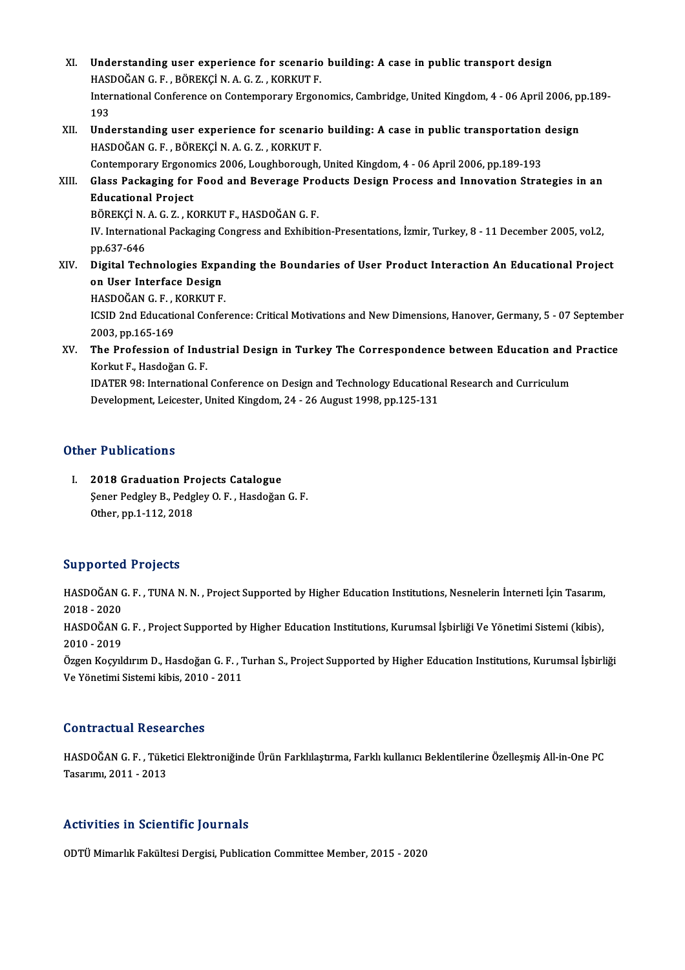- XI. Understanding user experience for scenario building: A case in public transport design Understanding user experience for scenario<br>HASDOĞAN G.F., BÖREKÇİN.A.G.Z., KORKUT F.<br>International Cenference en Centemperary Excen International Conference on Contemporary Ergonomics, Cambridge, United Kingdom, 4 - 06 April 2006, pp.189-<br>193 HASI<br>Inter<br>193 International Conference on Contemporary Ergonomics, Cambridge, United Kingdom, 4 - 06 April 2006, p<br>193<br>XII. Understanding user experience for scenario building: A case in public transportation design<br>HASDOČAN C E PÖPEKCI
- 193<br>Understanding user experience for scenario<br>HASDOĞAN G.F., BÖREKÇİ N.A.G.Z., KORKUT F.<br>Contemperary Ergenemiss 2006 Leughbereugh Understanding user experience for scenario building: A case in public transportation<br>HASDOĞAN G.F., BÖREKÇİ N.A.G.Z., KORKUT F.<br>Contemporary Ergonomics 2006, Loughborough, United Kingdom, 4 - 06 April 2006, pp.189-193<br>Clas

HASDOĞAN G. F. , BÖREKÇİ N. A. G. Z. , KORKUT F.<br>Contemporary Ergonomics 2006, Loughborough, United Kingdom, 4 - 06 April 2006, pp.189-193<br>XIII. Glass Packaging for Food and Beverage Products Design Process and Innovat Contemporary Ergonomics 2006, Loughborough, United Kingdom, 4 - 06 April 2006, pp.189-193<br>Glass Packaging for Food and Beverage Products Design Process and Innovation Stra<br>Educational Project Glass Packaging for Food and Beverage Pro<br>Educational Project<br>BÖREKÇİ N. A. G. Z. , KORKUT F., HASDOĞAN G. F.<br>W. International Baskaging Congress and Evhibiti

BÖREKÇİN A.G.Z., KORKUT F., HASDOĞAN G.F.

IV. International Packaging Congress and Exhibition-Presentations, İzmir, Turkey, 8 - 11 December 2005, vol.2,<br>pp.637-646 IV. International Packaging Congress and Exhibition-Presentations, İzmir, Turkey, 8 - 11 December 2005, vol.2,<br>pp.637-646<br>XIV. Digital Technologies Expanding the Boundaries of User Product Interaction An Educational Pr

pp.637-646<br>Digital Technologies Expa<br>on User Interface Design<br>HASDOČAN C E - KOPKUT E Digital Technologies Expa<br>on User Interface Design<br>HASDOĞAN G.F., KORKUT F.<br>ICSID 2nd Educational Confor

HASDOĞAN G.F., KORKUT F.

on User Interface Design<br>HASDOĞAN G. F. , KORKUT F.<br>ICSID 2nd Educational Conference: Critical Motivations and New Dimensions, Hanover, Germany, 5 - 07 September<br>2003, pp.165-169 ICSID 2nd Educational Conference: Critical Motivations and New Dimensions, Hanover, Germany, 5 - 07 September<br>2003, pp.165-169<br>XV. The Profession of Industrial Design in Turkey The Correspondence between Education and Prac

2003, pp.165-169<br>The Profession of Indu<br>Korkut F., Hasdoğan G. F.<br>IDATER 08: International The Profession of Industrial Design in Turkey The Correspondence between Education and<br>Korkut F., Hasdoğan G. F.<br>IDATER 98: International Conference on Design and Technology Educational Research and Curriculum<br>Development

Korkut F., Hasdoğan G. F.<br>IDATER 98: International Conference on Design and Technology Educationa<br>Development, Leicester, United Kingdom, 24 - 26 August 1998, pp.125-131 Development, Leicester, United Kingdom, 24 - 26 August 1998, pp.125-131<br>Other Publications

**ther Publications<br>I. 2018 Graduation Projects Catalogue<br>Sener Pedgley B. Pedgley O. E. Heedoğan** Şener Pedgley B., Pedgley O.F., Hasdoğan G.F.<br>Other, pp.1-112, 2018 2018 Graduation Pr<br>Şener Pedgley B., Pedg<br>Other, pp.1-112, 2018

### Supported Projects

Supported Projects<br>HASDOĞAN G. F. , TUNA N. N. , Project Supported by Higher Education Institutions, Nesnelerin İnterneti İçin Tasarım,<br>2018 - 2020 5 dpp 5 r c d<br>HASDOĞAN<br>2018 - 2020<br>HASDOĞAN 6 HASDOĞAN G. F. , TUNA N. N. , Project Supported by Higher Education Institutions, Nesnelerin İnterneti İçin Tasarım,<br>2018 - 2020<br>HASDOĞAN G. F. , Project Supported by Higher Education Institutions, Kurumsal İşbirliği Ve Yö

2018 - 2020<br>HASDOĞAN G. F. , Project Supported by Higher Education Institutions, Kurumsal İşbirliği Ve Yönetimi Sistemi (kibis),<br>2010 - 2019 HASDOĞAN G. F. , Project Supported by Higher Education Institutions, Kurumsal İşbirliği Ve Yönetimi Sistemi (kibis),<br>2010 - 2019<br>Özgen Koçyıldırım D., Hasdoğan G. F. , Turhan S., Project Supported by Higher Education Insti

2010 - 2019<br>Özgen Koçyıldırım D., Hasdoğan G. F. , 1<br>Ve Yönetimi Sistemi kibis, 2010 - 2011 Ve Yönetimi Sistemi kibis, 2010 - 2011<br>Contractual Researches

HASDOĞAN G.F., Tüketici Elektroniğinde Ürün Farklılaştırma, Farklı kullanıcı Beklentilerine Özelleşmiş All-in-One PC Tasarımı,2011 -2013

## Activities in Scientific Journals

ODTÜ Mimarlık Fakültesi Dergisi, Publication Committee Member, 2015 - 2020